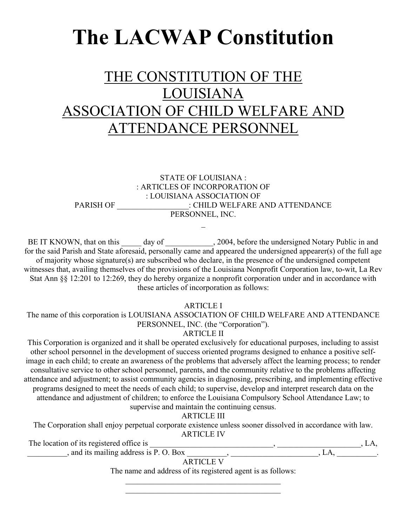# The LACWAP Constitution

# THE CONSTITUTION OF THE LOUISIANA ASSOCIATION OF CHILD WELFARE AND ATTENDANCE PERSONNEL

STATE OF LOUISIANA : : ARTICLES OF INCORPORATION OF : LOUISIANA ASSOCIATION OF PARISH OF \_\_\_\_\_\_\_\_\_\_\_\_\_\_\_\_\_\_\_\_\_\_\_: CHILD WELFARE AND ATTENDANCE PERSONNEL, INC.

BE IT KNOWN, that on this \_\_\_\_\_ day of \_\_\_\_\_\_\_\_\_\_\_, 2004, before the undersigned Notary Public in and for the said Parish and State aforesaid, personally came and appeared the undersigned appearer(s) of the full age of majority whose signature(s) are subscribed who declare, in the presence of the undersigned competent witnesses that, availing themselves of the provisions of the Louisiana Nonprofit Corporation law, to-wit, La Rev Stat Ann §§ 12:201 to 12:269, they do hereby organize a nonprofit corporation under and in accordance with these articles of incorporation as follows:

ARTICLE I

The name of this corporation is LOUISIANA ASSOCIATION OF CHILD WELFARE AND ATTENDANCE PERSONNEL, INC. (the "Corporation").

ARTICLE II

This Corporation is organized and it shall be operated exclusively for educational purposes, including to assist other school personnel in the development of success oriented programs designed to enhance a positive selfimage in each child; to create an awareness of the problems that adversely affect the learning process; to render consultative service to other school personnel, parents, and the community relative to the problems affecting attendance and adjustment; to assist community agencies in diagnosing, prescribing, and implementing effective programs designed to meet the needs of each child; to supervise, develop and interpret research data on the attendance and adjustment of children; to enforce the Louisiana Compulsory School Attendance Law; to supervise and maintain the continuing census.

ARTICLE III

The Corporation shall enjoy perpetual corporate existence unless sooner dissolved in accordance with law. ARTICLE IV

The location of its registered office is  $, L A$ ,  $\lambda$ , and its mailing address is P. O. Box  $\lambda$ ,  $\lambda$ ,  $\lambda$ ,  $\lambda$ ,  $\lambda$ ,  $\lambda$ ,  $\lambda$ ,  $\lambda$ ,  $\lambda$ ,  $\lambda$ ,  $\lambda$ ,  $\lambda$ ,  $\lambda$ ,  $\lambda$ ,  $\lambda$ ,  $\lambda$ ,  $\lambda$ ,  $\lambda$ ,  $\lambda$ ,  $\lambda$ ,  $\lambda$ ,  $\lambda$ ,  $\lambda$ ,  $\lambda$ ,  $\lambda$ ,  $\lambda$ ,  $\lambda$ ,  $\lambda$ ,  $\lambda$ ,  $\lambda$ 

ARTICLE V

The name and address of its registered agent is as follows: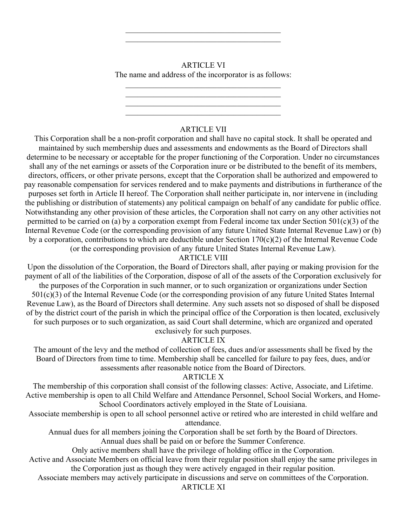#### ARTICLE VI

The name and address of the incorporator is as follows:

## ARTICLE VII

 $\mathcal{L}_\text{max}$  and  $\mathcal{L}_\text{max}$  and  $\mathcal{L}_\text{max}$  and  $\mathcal{L}_\text{max}$ 

This Corporation shall be a non-profit corporation and shall have no capital stock. It shall be operated and maintained by such membership dues and assessments and endowments as the Board of Directors shall determine to be necessary or acceptable for the proper functioning of the Corporation. Under no circumstances shall any of the net earnings or assets of the Corporation inure or be distributed to the benefit of its members, directors, officers, or other private persons, except that the Corporation shall be authorized and empowered to pay reasonable compensation for services rendered and to make payments and distributions in furtherance of the purposes set forth in Article II hereof. The Corporation shall neither participate in, nor intervene in (including the publishing or distribution of statements) any political campaign on behalf of any candidate for public office. Notwithstanding any other provision of these articles, the Corporation shall not carry on any other activities not permitted to be carried on (a) by a corporation exempt from Federal income tax under Section 501(c)(3) of the Internal Revenue Code (or the corresponding provision of any future United State Internal Revenue Law) or (b) by a corporation, contributions to which are deductible under Section 170(c)(2) of the Internal Revenue Code (or the corresponding provision of any future United States Internal Revenue Law).

ARTICLE VIII

Upon the dissolution of the Corporation, the Board of Directors shall, after paying or making provision for the payment of all of the liabilities of the Corporation, dispose of all of the assets of the Corporation exclusively for the purposes of the Corporation in such manner, or to such organization or organizations under Section 501(c)(3) of the Internal Revenue Code (or the corresponding provision of any future United States Internal Revenue Law), as the Board of Directors shall determine. Any such assets not so disposed of shall be disposed of by the district court of the parish in which the principal office of the Corporation is then located, exclusively for such purposes or to such organization, as said Court shall determine, which are organized and operated exclusively for such purposes.

#### ARTICLE IX

The amount of the levy and the method of collection of fees, dues and/or assessments shall be fixed by the Board of Directors from time to time. Membership shall be cancelled for failure to pay fees, dues, and/or assessments after reasonable notice from the Board of Directors.

#### ARTICLE X

The membership of this corporation shall consist of the following classes: Active, Associate, and Lifetime. Active membership is open to all Child Welfare and Attendance Personnel, School Social Workers, and Home-School Coordinators actively employed in the State of Louisiana.

Associate membership is open to all school personnel active or retired who are interested in child welfare and attendance.

Annual dues for all members joining the Corporation shall be set forth by the Board of Directors.

Annual dues shall be paid on or before the Summer Conference.

Only active members shall have the privilege of holding office in the Corporation.

Active and Associate Members on official leave from their regular position shall enjoy the same privileges in the Corporation just as though they were actively engaged in their regular position.

Associate members may actively participate in discussions and serve on committees of the Corporation.

## ARTICLE XI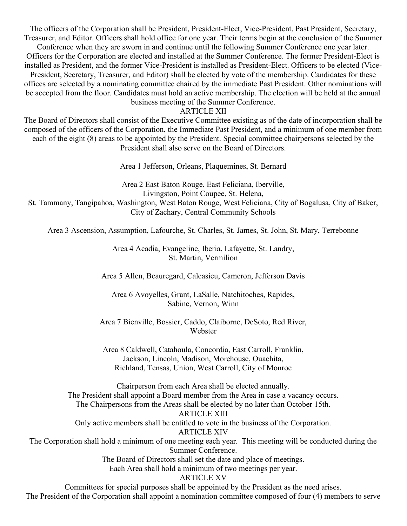The officers of the Corporation shall be President, President-Elect, Vice-President, Past President, Secretary, Treasurer, and Editor. Officers shall hold office for one year. Their terms begin at the conclusion of the Summer Conference when they are sworn in and continue until the following Summer Conference one year later. Officers for the Corporation are elected and installed at the Summer Conference. The former President-Elect is installed as President, and the former Vice-President is installed as President-Elect. Officers to be elected (Vice-President, Secretary, Treasurer, and Editor) shall be elected by vote of the membership. Candidates for these offices are selected by a nominating committee chaired by the immediate Past President. Other nominations will be accepted from the floor. Candidates must hold an active membership. The election will be held at the annual business meeting of the Summer Conference.

ARTICLE XII

The Board of Directors shall consist of the Executive Committee existing as of the date of incorporation shall be composed of the officers of the Corporation, the Immediate Past President, and a minimum of one member from each of the eight (8) areas to be appointed by the President. Special committee chairpersons selected by the President shall also serve on the Board of Directors.

Area 1 Jefferson, Orleans, Plaquemines, St. Bernard

Area 2 East Baton Rouge, East Feliciana, Iberville, Livingston, Point Coupee, St. Helena, St. Tammany, Tangipahoa, Washington, West Baton Rouge, West Feliciana, City of Bogalusa, City of Baker, City of Zachary, Central Community Schools

Area 3 Ascension, Assumption, Lafourche, St. Charles, St. James, St. John, St. Mary, Terrebonne

Area 4 Acadia, Evangeline, Iberia, Lafayette, St. Landry, St. Martin, Vermilion

Area 5 Allen, Beauregard, Calcasieu, Cameron, Jefferson Davis

Area 6 Avoyelles, Grant, LaSalle, Natchitoches, Rapides, Sabine, Vernon, Winn

Area 7 Bienville, Bossier, Caddo, Claiborne, DeSoto, Red River, Webster

Area 8 Caldwell, Catahoula, Concordia, East Carroll, Franklin, Jackson, Lincoln, Madison, Morehouse, Ouachita, Richland, Tensas, Union, West Carroll, City of Monroe

Chairperson from each Area shall be elected annually. The President shall appoint a Board member from the Area in case a vacancy occurs. The Chairpersons from the Areas shall be elected by no later than October 15th. ARTICLE XIII Only active members shall be entitled to vote in the business of the Corporation. ARTICLE XIV The Corporation shall hold a minimum of one meeting each year. This meeting will be conducted during the Summer Conference. The Board of Directors shall set the date and place of meetings. Each Area shall hold a minimum of two meetings per year. ARTICLE XV

Committees for special purposes shall be appointed by the President as the need arises. The President of the Corporation shall appoint a nomination committee composed of four (4) members to serve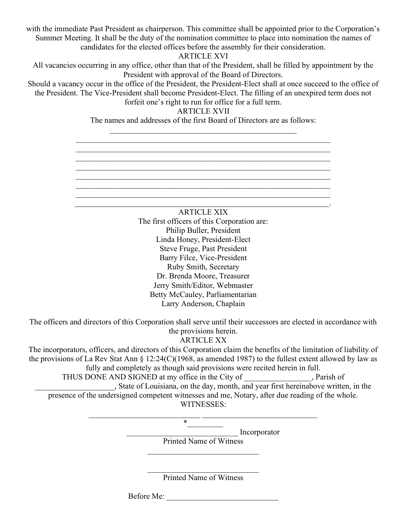with the immediate Past President as chairperson. This committee shall be appointed prior to the Corporation's Summer Meeting. It shall be the duty of the nomination committee to place into nomination the names of candidates for the elected offices before the assembly for their consideration.

ARTICLE XVI

All vacancies occurring in any office, other than that of the President, shall be filled by appointment by the President with approval of the Board of Directors.

Should a vacancy occur in the office of the President, the President-Elect shall at once succeed to the office of the President. The Vice-President shall become President-Elect. The filling of an unexpired term does not forfeit one's right to run for office for a full term.

ARTICLE XVII

The names and addresses of the first Board of Directors are as follows:

 $\mathcal{L}_\text{max}$  and  $\mathcal{L}_\text{max}$  and  $\mathcal{L}_\text{max}$  and  $\mathcal{L}_\text{max}$  and  $\mathcal{L}_\text{max}$  and  $\mathcal{L}_\text{max}$ 

 $\mathcal{L}_\mathcal{L} = \mathcal{L}_\mathcal{L} = \mathcal{L}_\mathcal{L} = \mathcal{L}_\mathcal{L} = \mathcal{L}_\mathcal{L} = \mathcal{L}_\mathcal{L} = \mathcal{L}_\mathcal{L} = \mathcal{L}_\mathcal{L} = \mathcal{L}_\mathcal{L} = \mathcal{L}_\mathcal{L} = \mathcal{L}_\mathcal{L} = \mathcal{L}_\mathcal{L} = \mathcal{L}_\mathcal{L} = \mathcal{L}_\mathcal{L} = \mathcal{L}_\mathcal{L} = \mathcal{L}_\mathcal{L} = \mathcal{L}_\mathcal{L}$ 

ARTICLE XIX The first officers of this Corporation are: Philip Buller, President Linda Honey, President-Elect Steve Fruge, Past President Barry Filce, Vice-President Ruby Smith, Secretary Dr. Brenda Moore, Treasurer Jerry Smith/Editor, Webmaster Betty McCauley, Parliamentarian Larry Anderson, Chaplain

The officers and directors of this Corporation shall serve until their successors are elected in accordance with the provisions herein.

ARTICLE XX

The incorporators, officers, and directors of this Corporation claim the benefits of the limitation of liability of the provisions of La Rev Stat Ann § 12:24(C)(1968, as amended 1987) to the fullest extent allowed by law as fully and completely as though said provisions were recited herein in full. THUS DONE AND SIGNED at my office in the City of Parish of

\_\_\_\_\_\_\_\_\_\_\_\_\_\_\_\_\_\_\_\_, State of Louisiana, on the day, month, and year first hereinabove written, in the presence of the undersigned competent witnesses and me, Notary, after due reading of the whole. WITNESSES:

\_\_\_\_\_\_\_\_\_\_\_\_\_\_\_\_\_\_\_\_\_\_\_\_\_\_\_\_ Incorporator

Printed Name of Witness

 $*$ 

Printed Name of Witness

Before Me: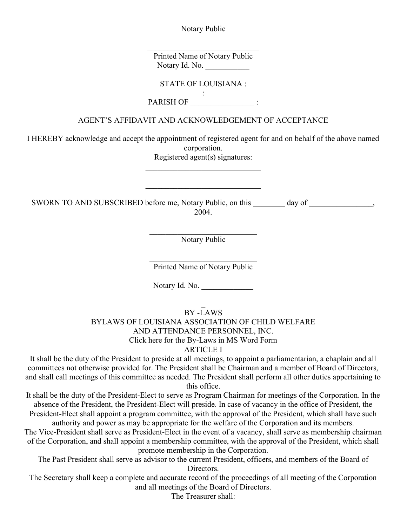Notary Public

Printed Name of Notary Public Notary Id. No.

STATE OF LOUISIANA :

: PARISH OF \_\_\_\_\_\_\_\_\_\_\_\_\_\_\_\_ :

# AGENT'S AFFIDAVIT AND ACKNOWLEDGEMENT OF ACCEPTANCE

I HEREBY acknowledge and accept the appointment of registered agent for and on behalf of the above named corporation.

Registered agent(s) signatures:

SWORN TO AND SUBSCRIBED before me, Notary Public, on this day of  $\qquad \qquad$ , 2004.

Notary Public

Printed Name of Notary Public

Notary Id. No.

BY -LAWS

# BYLAWS OF LOUISIANA ASSOCIATION OF CHILD WELFARE AND ATTENDANCE PERSONNEL, INC.

Click here for the By-Laws in MS Word Form

# ARTICLE I

It shall be the duty of the President to preside at all meetings, to appoint a parliamentarian, a chaplain and all committees not otherwise provided for. The President shall be Chairman and a member of Board of Directors, and shall call meetings of this committee as needed. The President shall perform all other duties appertaining to this office.

It shall be the duty of the President-Elect to serve as Program Chairman for meetings of the Corporation. In the absence of the President, the President-Elect will preside. In case of vacancy in the office of President, the President-Elect shall appoint a program committee, with the approval of the President, which shall have such authority and power as may be appropriate for the welfare of the Corporation and its members.

The Vice-President shall serve as President-Elect in the event of a vacancy, shall serve as membership chairman of the Corporation, and shall appoint a membership committee, with the approval of the President, which shall promote membership in the Corporation.

The Past President shall serve as advisor to the current President, officers, and members of the Board of Directors.

The Secretary shall keep a complete and accurate record of the proceedings of all meeting of the Corporation and all meetings of the Board of Directors.

The Treasurer shall: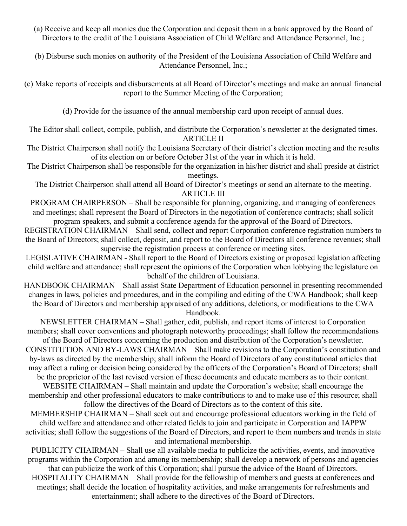(a) Receive and keep all monies due the Corporation and deposit them in a bank approved by the Board of Directors to the credit of the Louisiana Association of Child Welfare and Attendance Personnel, Inc.;

(b) Disburse such monies on authority of the President of the Louisiana Association of Child Welfare and Attendance Personnel, Inc.;

(c) Make reports of receipts and disbursements at all Board of Director's meetings and make an annual financial report to the Summer Meeting of the Corporation;

(d) Provide for the issuance of the annual membership card upon receipt of annual dues.

The Editor shall collect, compile, publish, and distribute the Corporation's newsletter at the designated times. ARTICLE II

The District Chairperson shall notify the Louisiana Secretary of their district's election meeting and the results of its election on or before October 31st of the year in which it is held.

The District Chairperson shall be responsible for the organization in his/her district and shall preside at district meetings.

The District Chairperson shall attend all Board of Director's meetings or send an alternate to the meeting. ARTICLE III

PROGRAM CHAIRPERSON – Shall be responsible for planning, organizing, and managing of conferences and meetings; shall represent the Board of Directors in the negotiation of conference contracts; shall solicit program speakers, and submit a conference agenda for the approval of the Board of Directors.

REGISTRATION CHAIRMAN – Shall send, collect and report Corporation conference registration numbers to the Board of Directors; shall collect, deposit, and report to the Board of Directors all conference revenues; shall supervise the registration process at conference or meeting sites.

LEGISLATIVE CHAIRMAN - Shall report to the Board of Directors existing or proposed legislation affecting child welfare and attendance; shall represent the opinions of the Corporation when lobbying the legislature on behalf of the children of Louisiana.

HANDBOOK CHAIRMAN – Shall assist State Department of Education personnel in presenting recommended changes in laws, policies and procedures, and in the compiling and editing of the CWA Handbook; shall keep the Board of Directors and membership appraised of any additions, deletions, or modifications to the CWA Handbook.

NEWSLETTER CHAIRMAN – Shall gather, edit, publish, and report items of interest to Corporation members; shall cover conventions and photograph noteworthy proceedings; shall follow the recommendations of the Board of Directors concerning the production and distribution of the Corporation's newsletter.

CONSTITUTION AND BY-LAWS CHAIRMAN – Shall make revisions to the Corporation's constitution and by-laws as directed by the membership; shall inform the Board of Directors of any constitutional articles that may affect a ruling or decision being considered by the officers of the Corporation's Board of Directors; shall be the proprietor of the last revised version of these documents and educate members as to their content.

WEBSITE CHAIRMAN – Shall maintain and update the Corporation's website; shall encourage the membership and other professional educators to make contributions to and to make use of this resource; shall follow the directives of the Board of Directors as to the content of this site.

MEMBERSHIP CHAIRMAN – Shall seek out and encourage professional educators working in the field of child welfare and attendance and other related fields to join and participate in Corporation and IAPPW activities; shall follow the suggestions of the Board of Directors, and report to them numbers and trends in state and international membership.

PUBLICITY CHAIRMAN – Shall use all available media to publicize the activities, events, and innovative programs within the Corporation and among its membership; shall develop a network of persons and agencies that can publicize the work of this Corporation; shall pursue the advice of the Board of Directors. HOSPITALITY CHAIRMAN – Shall provide for the fellowship of members and guests at conferences and meetings; shall decide the location of hospitality activities, and make arrangements for refreshments and entertainment; shall adhere to the directives of the Board of Directors.